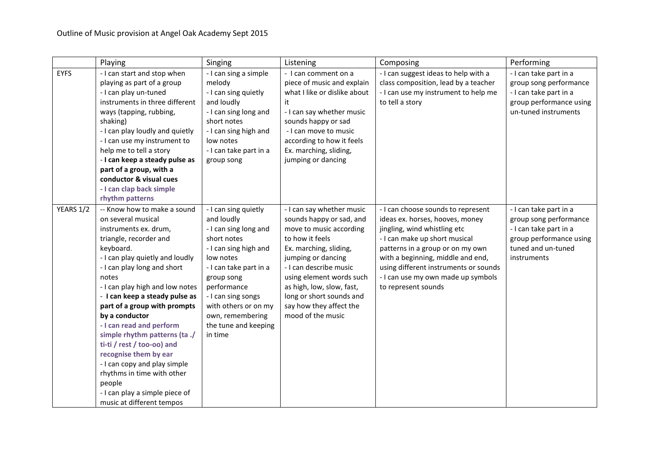|             | Playing                                                                                                                                                                                                                                                                                                                                                                                                                                                                                                                                                                       | Singing                                                                                                                                                                                                                                                                      | Listening                                                                                                                                                                                                                                                                                                          | Composing                                                                                                                                                                                                                                                                                                             | Performing                                                                                                                                 |
|-------------|-------------------------------------------------------------------------------------------------------------------------------------------------------------------------------------------------------------------------------------------------------------------------------------------------------------------------------------------------------------------------------------------------------------------------------------------------------------------------------------------------------------------------------------------------------------------------------|------------------------------------------------------------------------------------------------------------------------------------------------------------------------------------------------------------------------------------------------------------------------------|--------------------------------------------------------------------------------------------------------------------------------------------------------------------------------------------------------------------------------------------------------------------------------------------------------------------|-----------------------------------------------------------------------------------------------------------------------------------------------------------------------------------------------------------------------------------------------------------------------------------------------------------------------|--------------------------------------------------------------------------------------------------------------------------------------------|
| <b>EYFS</b> | - I can start and stop when<br>playing as part of a group<br>- I can play un-tuned<br>instruments in three different<br>ways (tapping, rubbing,<br>shaking)<br>- I can play loudly and quietly<br>- I can use my instrument to<br>help me to tell a story<br>- I can keep a steady pulse as<br>part of a group, with a<br>conductor & visual cues<br>- I can clap back simple<br>rhythm patterns                                                                                                                                                                              | - I can sing a simple<br>melody<br>- I can sing quietly<br>and loudly<br>- I can sing long and<br>short notes<br>- I can sing high and<br>low notes<br>- I can take part in a<br>group song                                                                                  | - I can comment on a<br>piece of music and explain<br>what I like or dislike about<br>it<br>- I can say whether music<br>sounds happy or sad<br>- I can move to music<br>according to how it feels<br>Ex. marching, sliding,<br>jumping or dancing                                                                 | - I can suggest ideas to help with a<br>class composition, lead by a teacher<br>- I can use my instrument to help me<br>to tell a story                                                                                                                                                                               | - I can take part in a<br>group song performance<br>- I can take part in a<br>group performance using<br>un-tuned instruments              |
| YEARS 1/2   | -- Know how to make a sound<br>on several musical<br>instruments ex. drum,<br>triangle, recorder and<br>keyboard.<br>- I can play quietly and loudly<br>- I can play long and short<br>notes<br>- I can play high and low notes<br>- I can keep a steady pulse as<br>part of a group with prompts<br>by a conductor<br>- I can read and perform<br>simple rhythm patterns (ta./<br>ti-ti / rest / too-oo) and<br>recognise them by ear<br>- I can copy and play simple<br>rhythms in time with other<br>people<br>- I can play a simple piece of<br>music at different tempos | - I can sing quietly<br>and loudly<br>- I can sing long and<br>short notes<br>- I can sing high and<br>low notes<br>- I can take part in a<br>group song<br>performance<br>- I can sing songs<br>with others or on my<br>own, remembering<br>the tune and keeping<br>in time | - I can say whether music<br>sounds happy or sad, and<br>move to music according<br>to how it feels<br>Ex. marching, sliding,<br>jumping or dancing<br>- I can describe music<br>using element words such<br>as high, low, slow, fast,<br>long or short sounds and<br>say how they affect the<br>mood of the music | - I can choose sounds to represent<br>ideas ex. horses, hooves, money<br>jingling, wind whistling etc<br>- I can make up short musical<br>patterns in a group or on my own<br>with a beginning, middle and end,<br>using different instruments or sounds<br>- I can use my own made up symbols<br>to represent sounds | - I can take part in a<br>group song performance<br>- I can take part in a<br>group performance using<br>tuned and un-tuned<br>instruments |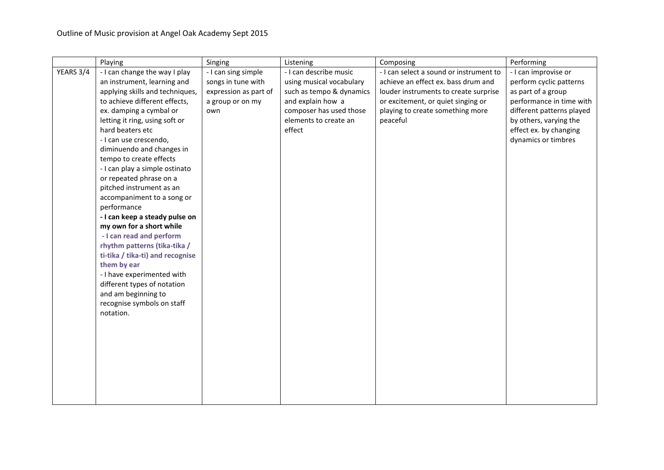|           | Playing                                   | Singing               | Listening                | Composing                               | Performing                |
|-----------|-------------------------------------------|-----------------------|--------------------------|-----------------------------------------|---------------------------|
| YEARS 3/4 | - I can change the way I play             | - I can sing simple   | - I can describe music   | - I can select a sound or instrument to | - I can improvise or      |
|           | an instrument, learning and               | songs in tune with    | using musical vocabulary | achieve an effect ex. bass drum and     | perform cyclic patterns   |
|           | applying skills and techniques,           | expression as part of | such as tempo & dynamics | louder instruments to create surprise   | as part of a group        |
|           | to achieve different effects,             | a group or on my      | and explain how a        | or excitement, or quiet singing or      | performance in time with  |
|           | ex. damping a cymbal or                   | own                   | composer has used those  | playing to create something more        | different patterns played |
|           | letting it ring, using soft or            |                       | elements to create an    | peaceful                                | by others, varying the    |
|           | hard beaters etc                          |                       | effect                   |                                         | effect ex. by changing    |
|           | - I can use crescendo,                    |                       |                          |                                         | dynamics or timbres       |
|           | diminuendo and changes in                 |                       |                          |                                         |                           |
|           | tempo to create effects                   |                       |                          |                                         |                           |
|           | - I can play a simple ostinato            |                       |                          |                                         |                           |
|           | or repeated phrase on a                   |                       |                          |                                         |                           |
|           | pitched instrument as an                  |                       |                          |                                         |                           |
|           | accompaniment to a song or<br>performance |                       |                          |                                         |                           |
|           | - I can keep a steady pulse on            |                       |                          |                                         |                           |
|           | my own for a short while                  |                       |                          |                                         |                           |
|           | - I can read and perform                  |                       |                          |                                         |                           |
|           | rhythm patterns (tika-tika /              |                       |                          |                                         |                           |
|           | ti-tika / tika-ti) and recognise          |                       |                          |                                         |                           |
|           | them by ear                               |                       |                          |                                         |                           |
|           | - I have experimented with                |                       |                          |                                         |                           |
|           | different types of notation               |                       |                          |                                         |                           |
|           | and am beginning to                       |                       |                          |                                         |                           |
|           | recognise symbols on staff                |                       |                          |                                         |                           |
|           | notation.                                 |                       |                          |                                         |                           |
|           |                                           |                       |                          |                                         |                           |
|           |                                           |                       |                          |                                         |                           |
|           |                                           |                       |                          |                                         |                           |
|           |                                           |                       |                          |                                         |                           |
|           |                                           |                       |                          |                                         |                           |
|           |                                           |                       |                          |                                         |                           |
|           |                                           |                       |                          |                                         |                           |
|           |                                           |                       |                          |                                         |                           |
|           |                                           |                       |                          |                                         |                           |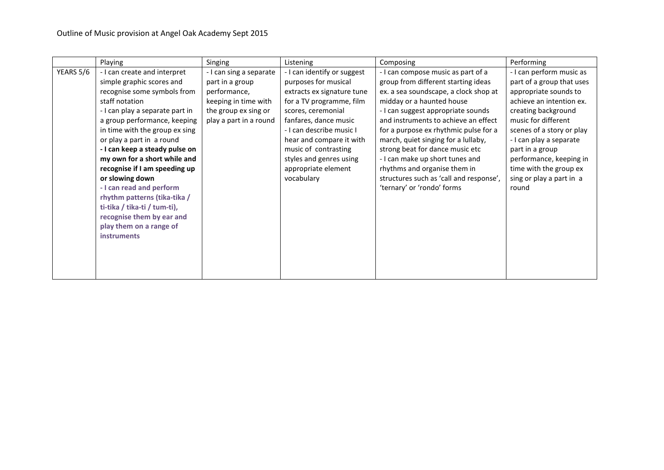|           | Playing                                                                                                                                                                                                                                                                                                                                                                                                                                                                                                                                      | Singing                                                                                                                              | Listening                                                                                                                                                                                                                                                                                                    | Composing                                                                                                                                                                                                                                                                                                                                                                                                                                                                                    | Performing                                                                                                                                                                                                                                                                                                                    |
|-----------|----------------------------------------------------------------------------------------------------------------------------------------------------------------------------------------------------------------------------------------------------------------------------------------------------------------------------------------------------------------------------------------------------------------------------------------------------------------------------------------------------------------------------------------------|--------------------------------------------------------------------------------------------------------------------------------------|--------------------------------------------------------------------------------------------------------------------------------------------------------------------------------------------------------------------------------------------------------------------------------------------------------------|----------------------------------------------------------------------------------------------------------------------------------------------------------------------------------------------------------------------------------------------------------------------------------------------------------------------------------------------------------------------------------------------------------------------------------------------------------------------------------------------|-------------------------------------------------------------------------------------------------------------------------------------------------------------------------------------------------------------------------------------------------------------------------------------------------------------------------------|
| YEARS 5/6 | - I can create and interpret<br>simple graphic scores and<br>recognise some symbols from<br>staff notation<br>- I can play a separate part in<br>a group performance, keeping<br>in time with the group ex sing<br>or play a part in a round<br>- I can keep a steady pulse on<br>my own for a short while and<br>recognise if I am speeding up<br>or slowing down<br>- I can read and perform<br>rhythm patterns (tika-tika /<br>ti-tika / tika-ti / tum-ti),<br>recognise them by ear and<br>play them on a range of<br><b>instruments</b> | - I can sing a separate<br>part in a group<br>performance,<br>keeping in time with<br>the group ex sing or<br>play a part in a round | - I can identify or suggest<br>purposes for musical<br>extracts ex signature tune<br>for a TV programme, film<br>scores, ceremonial<br>fanfares, dance music<br>- I can describe music I<br>hear and compare it with<br>music of contrasting<br>styles and genres using<br>appropriate element<br>vocabulary | - I can compose music as part of a<br>group from different starting ideas<br>ex. a sea soundscape, a clock shop at<br>midday or a haunted house<br>- I can suggest appropriate sounds<br>and instruments to achieve an effect<br>for a purpose ex rhythmic pulse for a<br>march, quiet singing for a lullaby,<br>strong beat for dance music etc<br>- I can make up short tunes and<br>rhythms and organise them in<br>structures such as 'call and response',<br>'ternary' or 'rondo' forms | - I can perform music as<br>part of a group that uses<br>appropriate sounds to<br>achieve an intention ex.<br>creating background<br>music for different<br>scenes of a story or play<br>- I can play a separate<br>part in a group<br>performance, keeping in<br>time with the group ex<br>sing or play a part in a<br>round |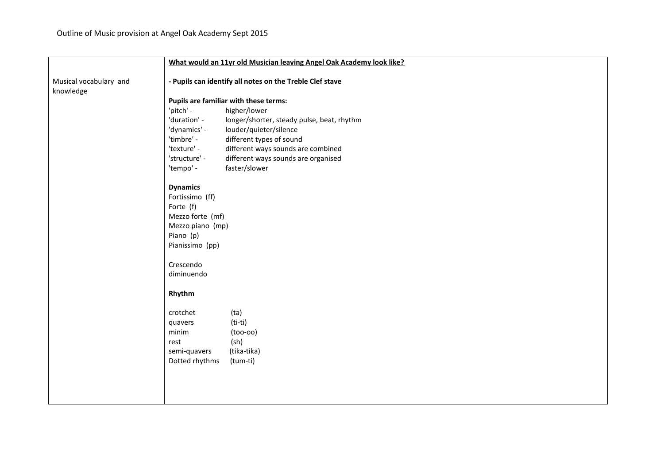|                                     | What would an 11yr old Musician leaving Angel Oak Academy look like? |  |  |  |
|-------------------------------------|----------------------------------------------------------------------|--|--|--|
| Musical vocabulary and<br>knowledge | - Pupils can identify all notes on the Treble Clef stave             |  |  |  |
|                                     | Pupils are familiar with these terms:                                |  |  |  |
|                                     | 'pitch' -<br>higher/lower                                            |  |  |  |
|                                     | 'duration' -<br>longer/shorter, steady pulse, beat, rhythm           |  |  |  |
|                                     | 'dynamics' -<br>louder/quieter/silence                               |  |  |  |
|                                     | 'timbre' -<br>different types of sound                               |  |  |  |
|                                     | 'texture' -<br>different ways sounds are combined                    |  |  |  |
|                                     | 'structure' -<br>different ways sounds are organised                 |  |  |  |
|                                     | faster/slower<br>'tempo' -                                           |  |  |  |
|                                     | <b>Dynamics</b>                                                      |  |  |  |
|                                     | Fortissimo (ff)                                                      |  |  |  |
|                                     | Forte (f)                                                            |  |  |  |
|                                     | Mezzo forte (mf)                                                     |  |  |  |
|                                     | Mezzo piano (mp)                                                     |  |  |  |
|                                     | Piano (p)                                                            |  |  |  |
|                                     | Pianissimo (pp)                                                      |  |  |  |
|                                     | Crescendo                                                            |  |  |  |
|                                     | diminuendo                                                           |  |  |  |
|                                     | Rhythm                                                               |  |  |  |
|                                     | crotchet<br>(ta)                                                     |  |  |  |
|                                     | $(ti-ti)$<br>quavers                                                 |  |  |  |
|                                     | minim<br>$(100-00)$                                                  |  |  |  |
|                                     | (sh)<br>rest                                                         |  |  |  |
|                                     | semi-quavers<br>(tika-tika)                                          |  |  |  |
|                                     | Dotted rhythms<br>(tum-ti)                                           |  |  |  |
|                                     |                                                                      |  |  |  |
|                                     |                                                                      |  |  |  |
|                                     |                                                                      |  |  |  |
|                                     |                                                                      |  |  |  |